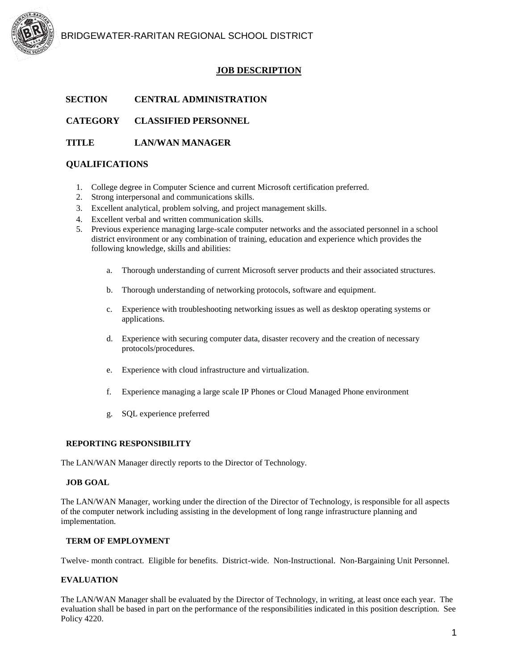

BRIDGEWATER-RARITAN REGIONAL SCHOOL DISTRICT

# **JOB DESCRIPTION**

### **SECTION CENTRAL ADMINISTRATION**

**CATEGORY CLASSIFIED PERSONNEL**

### **TITLE LAN/WAN MANAGER**

# **QUALIFICATIONS**

- 1. College degree in Computer Science and current Microsoft certification preferred.
- 2. Strong interpersonal and communications skills.
- 3. Excellent analytical, problem solving, and project management skills.
- 4. Excellent verbal and written communication skills.
- 5. Previous experience managing large-scale computer networks and the associated personnel in a school district environment or any combination of training, education and experience which provides the following knowledge, skills and abilities:
	- a. Thorough understanding of current Microsoft server products and their associated structures.
	- b. Thorough understanding of networking protocols, software and equipment.
	- c. Experience with troubleshooting networking issues as well as desktop operating systems or applications.
	- d. Experience with securing computer data, disaster recovery and the creation of necessary protocols/procedures.
	- e. Experience with cloud infrastructure and virtualization.
	- f. Experience managing a large scale IP Phones or Cloud Managed Phone environment
	- g. SQL experience preferred

#### **REPORTING RESPONSIBILITY**

The LAN/WAN Manager directly reports to the Director of Technology.

#### **JOB GOAL**

The LAN/WAN Manager, working under the direction of the Director of Technology, is responsible for all aspects of the computer network including assisting in the development of long range infrastructure planning and implementation.

### **TERM OF EMPLOYMENT**

Twelve- month contract. Eligible for benefits. District-wide. Non-Instructional. Non-Bargaining Unit Personnel.

### **EVALUATION**

The LAN/WAN Manager shall be evaluated by the Director of Technology, in writing, at least once each year. The evaluation shall be based in part on the performance of the responsibilities indicated in this position description. See Policy 4220.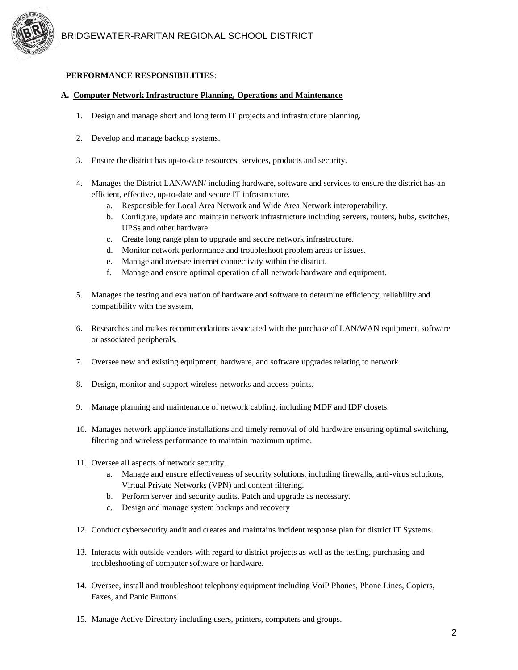

# **PERFORMANCE RESPONSIBILITIES**:

### **A. Computer Network Infrastructure Planning, Operations and Maintenance**

- 1. Design and manage short and long term IT projects and infrastructure planning.
- 2. Develop and manage backup systems.
- 3. Ensure the district has up-to-date resources, services, products and security.
- 4. Manages the District LAN/WAN/ including hardware, software and services to ensure the district has an efficient, effective, up-to-date and secure IT infrastructure.
	- a. Responsible for Local Area Network and Wide Area Network interoperability.
	- b. Configure, update and maintain network infrastructure including servers, routers, hubs, switches, UPSs and other hardware.
	- c. Create long range plan to upgrade and secure network infrastructure.
	- d. Monitor network performance and troubleshoot problem areas or issues.
	- e. Manage and oversee internet connectivity within the district.
	- f. Manage and ensure optimal operation of all network hardware and equipment.
- 5. Manages the testing and evaluation of hardware and software to determine efficiency, reliability and compatibility with the system.
- 6. Researches and makes recommendations associated with the purchase of LAN/WAN equipment, software or associated peripherals.
- 7. Oversee new and existing equipment, hardware, and software upgrades relating to network.
- 8. Design, monitor and support wireless networks and access points.
- 9. Manage planning and maintenance of network cabling, including MDF and IDF closets.
- 10. Manages network appliance installations and timely removal of old hardware ensuring optimal switching, filtering and wireless performance to maintain maximum uptime.
- 11. Oversee all aspects of network security.
	- a. Manage and ensure effectiveness of security solutions, including firewalls, anti-virus solutions, Virtual Private Networks (VPN) and content filtering.
	- b. Perform server and security audits. Patch and upgrade as necessary.
	- c. Design and manage system backups and recovery
- 12. Conduct cybersecurity audit and creates and maintains incident response plan for district IT Systems.
- 13. Interacts with outside vendors with regard to district projects as well as the testing, purchasing and troubleshooting of computer software or hardware.
- 14. Oversee, install and troubleshoot telephony equipment including VoiP Phones, Phone Lines, Copiers, Faxes, and Panic Buttons.
- 15. Manage Active Directory including users, printers, computers and groups.